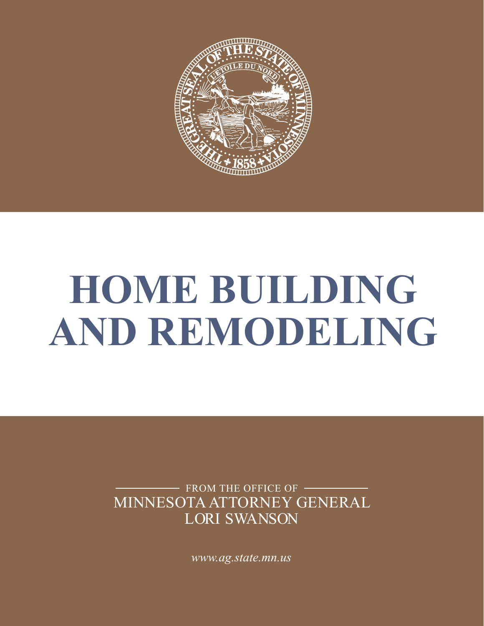

# **HOME BUILDING AND REMODELING**

MINNESOTA ATTORNEY GENERAL LORI SWANSON FROM THE OFFICE OF -

*[www.ag.state.mn.us](http://www.ag.state.mn.us/)*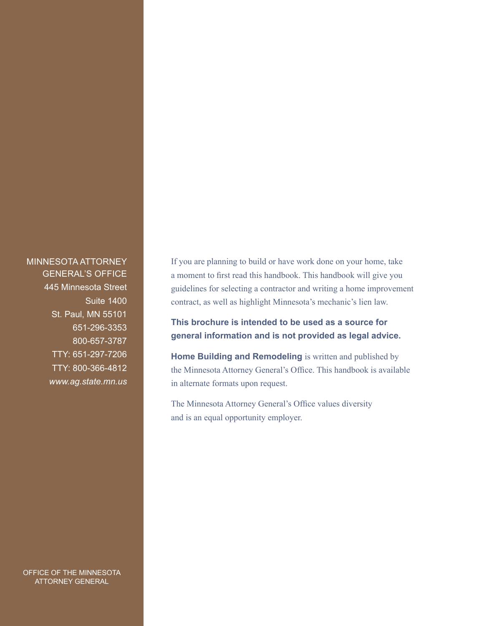MINNESOTA ATTORNEY GENERAL'S OFFICE 445 Minnesota Street Suite 1400 St. Paul, MN 55101 651-296-3353 800-657-3787 TTY: 651-297-7206 TTY: 800-366-4812 *[www.ag.state.mn.us](http://www.ag.state.mn.us/)*

OFFICE OF THE MINNESOTA ATTORNEY GENERAL

If you are planning to build or have work done on your home, take a moment to first read this handbook. This handbook will give you guidelines for selecting a contractor and writing a home improvement contract, as well as highlight Minnesota's mechanic's lien law.

### **This brochure is intended to be used as a source for general information and is not provided as legal advice.**

**Home Building and Remodeling** is written and published by the Minnesota Attorney General's Office. This handbook is available in alternate formats upon request.

The Minnesota Attorney General's Office values diversity and is an equal opportunity employer.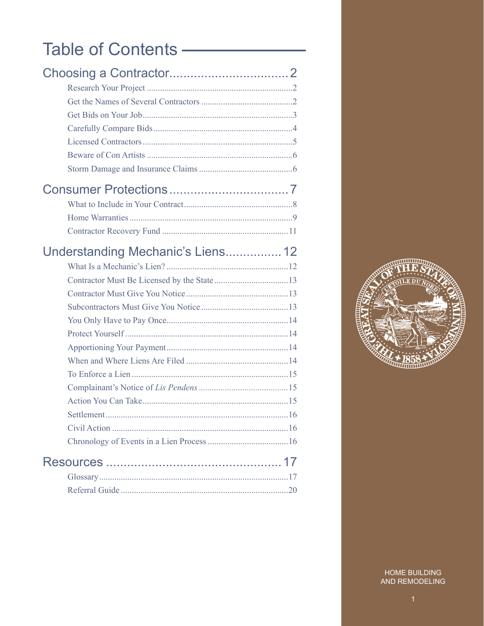# Table of Contents —

| Understanding Mechanic's Liens 12 |  |
|-----------------------------------|--|
|                                   |  |
|                                   |  |
|                                   |  |
|                                   |  |
|                                   |  |
|                                   |  |
|                                   |  |
|                                   |  |
|                                   |  |
|                                   |  |
|                                   |  |
|                                   |  |
|                                   |  |
|                                   |  |
|                                   |  |
|                                   |  |
|                                   |  |

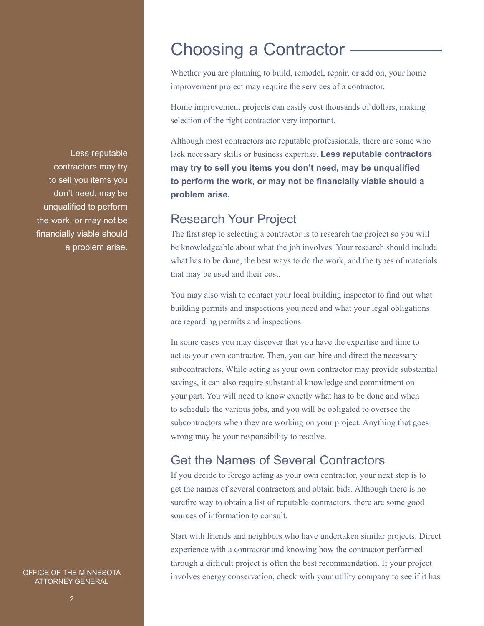Less reputable contractors may try to sell you items you don't need, may be unqualified to perform the work, or may not be financially viable should a problem arise.

OFFICE OF THE MINNESOTA ATTORNEY GENERAL

# Choosing a Contractor

Whether you are planning to build, remodel, repair, or add on, your home improvement project may require the services of a contractor.

Home improvement projects can easily cost thousands of dollars, making selection of the right contractor very important.

Although most contractors are reputable professionals, there are some who lack necessary skills or business expertise. **Less reputable contractors may try to sell you items you don't need, may be unqualified to perform the work, or may not be financially viable should a problem arise.**

# Research Your Project

The first step to selecting a contractor is to research the project so you will be knowledgeable about what the job involves. Your research should include what has to be done, the best ways to do the work, and the types of materials that may be used and their cost.

You may also wish to contact your local building inspector to find out what building permits and inspections you need and what your legal obligations are regarding permits and inspections.

In some cases you may discover that you have the expertise and time to act as your own contractor. Then, you can hire and direct the necessary subcontractors. While acting as your own contractor may provide substantial savings, it can also require substantial knowledge and commitment on your part. You will need to know exactly what has to be done and when to schedule the various jobs, and you will be obligated to oversee the subcontractors when they are working on your project. Anything that goes wrong may be your responsibility to resolve.

# Get the Names of Several Contractors

If you decide to forego acting as your own contractor, your next step is to get the names of several contractors and obtain bids. Although there is no surefire way to obtain a list of reputable contractors, there are some good sources of information to consult.

Start with friends and neighbors who have undertaken similar projects. Direct experience with a contractor and knowing how the contractor performed through a difficult project is often the best recommendation. If your project involves energy conservation, check with your utility company to see if it has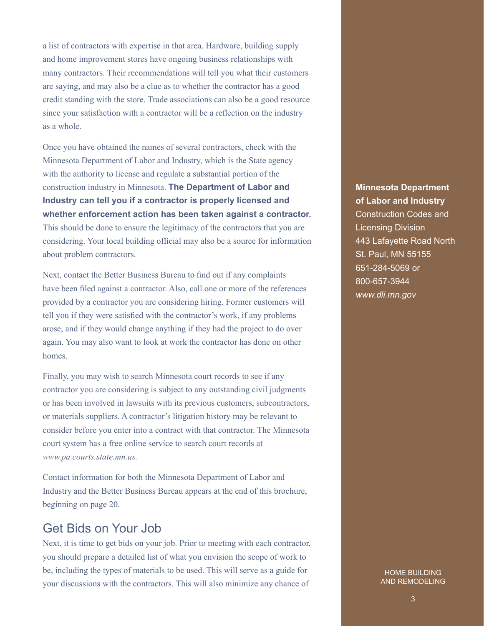a list of contractors with expertise in that area. Hardware, building supply and home improvement stores have ongoing business relationships with many contractors. Their recommendations will tell you what their customers are saying, and may also be a clue as to whether the contractor has a good credit standing with the store. Trade associations can also be a good resource since your satisfaction with a contractor will be a reflection on the industry as a whole.

Once you have obtained the names of several contractors, check with the Minnesota Department of Labor and Industry, which is the State agency with the authority to license and regulate a substantial portion of the construction industry in Minnesota. **The Department of Labor and Industry can tell you if a contractor is properly licensed and whether enforcement action has been taken against a contractor.**  This should be done to ensure the legitimacy of the contractors that you are

considering. Your local building official may also be a source for information about problem contractors.

Next, contact the Better Business Bureau to find out if any complaints have been filed against a contractor. Also, call one or more of the references provided by a contractor you are considering hiring. Former customers will tell you if they were satisfied with the contractor's work, if any problems arose, and if they would change anything if they had the project to do over again. You may also want to look at work the contractor has done on other homes.

Finally, you may wish to search Minnesota court records to see if any contractor you are considering is subject to any outstanding civil judgments or has been involved in lawsuits with its previous customers, subcontractors, or materials suppliers. A contractor's litigation history may be relevant to consider before you enter into a contract with that contractor. The Minnesota court system has a free online service to search court records at *www.pa.courts.state.mn.us.*

Contact information for both the Minnesota Department of Labor and Industry and the Better Business Bureau appears at the end of this brochure, beginning on page 20.

# Get Bids on Your Job

Next, it is time to get bids on your job. Prior to meeting with each contractor, you should prepare a detailed list of what you envision the scope of work to be, including the types of materials to be used. This will serve as a guide for your discussions with the contractors. This will also minimize any chance of

**Minnesota Department of Labor and Industry** Construction Codes and Licensing Division 443 Lafayette Road North St. Paul, MN 55155 651-284-5069 or 800-657-3944 *www.dli.mn.gov*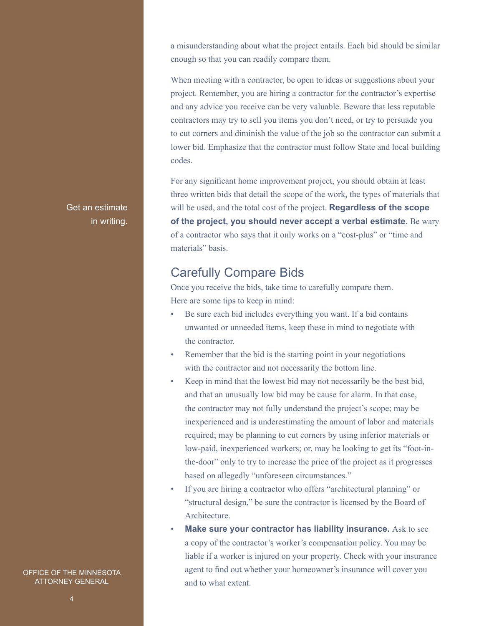a misunderstanding about what the project entails. Each bid should be similar enough so that you can readily compare them.

When meeting with a contractor, be open to ideas or suggestions about your project. Remember, you are hiring a contractor for the contractor's expertise and any advice you receive can be very valuable. Beware that less reputable contractors may try to sell you items you don't need, or try to persuade you to cut corners and diminish the value of the job so the contractor can submit a lower bid. Emphasize that the contractor must follow State and local building codes.

For any significant home improvement project, you should obtain at least three written bids that detail the scope of the work, the types of materials that will be used, and the total cost of the project. **Regardless of the scope of the project, you should never accept a verbal estimate.** Be wary of a contractor who says that it only works on a "cost-plus" or "time and materials" basis.

# Carefully Compare Bids

Once you receive the bids, take time to carefully compare them. Here are some tips to keep in mind:

- Be sure each bid includes everything you want. If a bid contains unwanted or unneeded items, keep these in mind to negotiate with the contractor.
- Remember that the bid is the starting point in your negotiations with the contractor and not necessarily the bottom line.
- Keep in mind that the lowest bid may not necessarily be the best bid, and that an unusually low bid may be cause for alarm. In that case, the contractor may not fully understand the project's scope; may be inexperienced and is underestimating the amount of labor and materials required; may be planning to cut corners by using inferior materials or low-paid, inexperienced workers; or, may be looking to get its "foot-inthe-door" only to try to increase the price of the project as it progresses based on allegedly "unforeseen circumstances."
- If you are hiring a contractor who offers "architectural planning" or "structural design," be sure the contractor is licensed by the Board of **Architecture**
- **Make sure your contractor has liability insurance.** Ask to see a copy of the contractor's worker's compensation policy. You may be liable if a worker is injured on your property. Check with your insurance agent to find out whether your homeowner's insurance will cover you and to what extent.

Get an estimate in writing.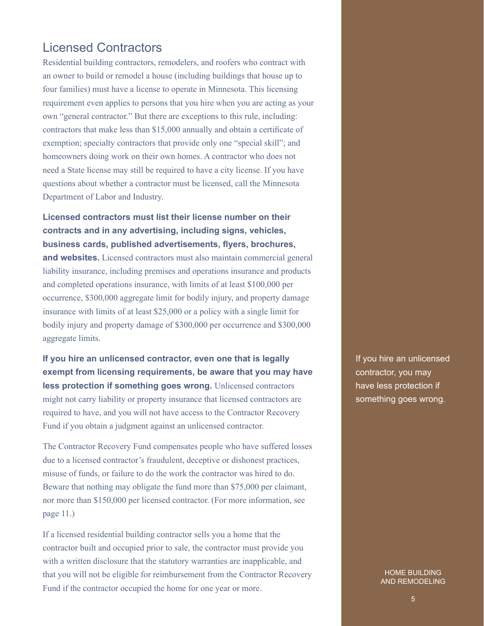# Licensed Contractors

Residential building contractors, remodelers, and roofers who contract with an owner to build or remodel a house (including buildings that house up to four families) must have a license to operate in Minnesota. This licensing requirement even applies to persons that you hire when you are acting as your own "general contractor." But there are exceptions to this rule, including: contractors that make less than \$15,000 annually and obtain a certificate of exemption; specialty contractors that provide only one "special skill"; and homeowners doing work on their own homes. A contractor who does not need a State license may still be required to have a city license. If you have questions about whether a contractor must be licensed, call the Minnesota Department of Labor and Industry.

**Licensed contractors must list their license number on their contracts and in any advertising, including signs, vehicles, business cards, published advertisements, flyers, brochures, and websites.** Licensed contractors must also maintain commercial general liability insurance, including premises and operations insurance and products and completed operations insurance, with limits of at least \$100,000 per occurrence, \$300,000 aggregate limit for bodily injury, and property damage insurance with limits of at least \$25,000 or a policy with a single limit for bodily injury and property damage of \$300,000 per occurrence and \$300,000 aggregate limits.

**If you hire an unlicensed contractor, even one that is legally exempt from licensing requirements, be aware that you may have less protection if something goes wrong.** Unlicensed contractors might not carry liability or property insurance that licensed contractors are required to have, and you will not have access to the Contractor Recovery Fund if you obtain a judgment against an unlicensed contractor.

The Contractor Recovery Fund compensates people who have suffered losses due to a licensed contractor's fraudulent, deceptive or dishonest practices, misuse of funds, or failure to do the work the contractor was hired to do. Beware that nothing may obligate the fund more than \$75,000 per claimant, nor more than \$150,000 per licensed contractor. (For more information, see page 11.)

If a licensed residential building contractor sells you a home that the contractor built and occupied prior to sale, the contractor must provide you with a written disclosure that the statutory warranties are inapplicable, and that you will not be eligible for reimbursement from the Contractor Recovery Fund if the contractor occupied the home for one year or more.

If you hire an unlicensed contractor, you may have less protection if something goes wrong.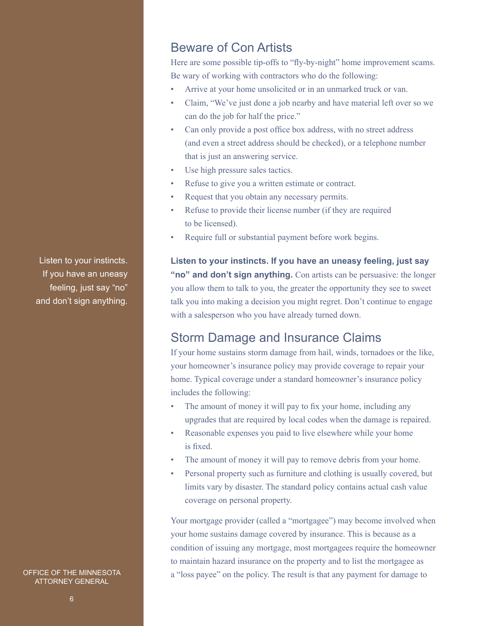# Beware of Con Artists

Here are some possible tip-offs to "fly-by-night" home improvement scams. Be wary of working with contractors who do the following:

- Arrive at your home unsolicited or in an unmarked truck or van.
- Claim, "We've just done a job nearby and have material left over so we can do the job for half the price."
- Can only provide a post office box address, with no street address (and even a street address should be checked), or a telephone number that is just an answering service.
- Use high pressure sales tactics.
- Refuse to give you a written estimate or contract.
- Request that you obtain any necessary permits.
- Refuse to provide their license number (if they are required to be licensed).
- Require full or substantial payment before work begins.

**Listen to your instincts. If you have an uneasy feeling, just say "no" and don't sign anything.** Con artists can be persuasive: the longer you allow them to talk to you, the greater the opportunity they see to sweet talk you into making a decision you might regret. Don't continue to engage with a salesperson who you have already turned down.

# Storm Damage and Insurance Claims

If your home sustains storm damage from hail, winds, tornadoes or the like, your homeowner's insurance policy may provide coverage to repair your home. Typical coverage under a standard homeowner's insurance policy includes the following:

- The amount of money it will pay to fix your home, including any upgrades that are required by local codes when the damage is repaired.
- Reasonable expenses you paid to live elsewhere while your home is fixed.
- The amount of money it will pay to remove debris from your home.
- Personal property such as furniture and clothing is usually covered, but limits vary by disaster. The standard policy contains actual cash value coverage on personal property.

Your mortgage provider (called a "mortgagee") may become involved when your home sustains damage covered by insurance. This is because as a condition of issuing any mortgage, most mortgagees require the homeowner to maintain hazard insurance on the property and to list the mortgagee as a "loss payee" on the policy. The result is that any payment for damage to

Listen to your instincts. If you have an uneasy feeling, just say "no" and don't sign anything.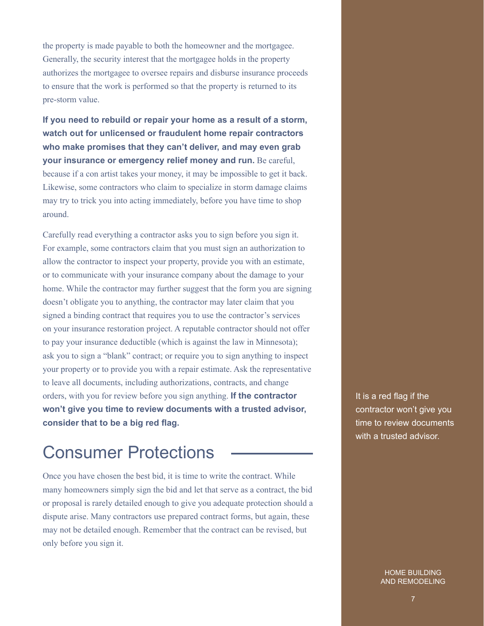the property is made payable to both the homeowner and the mortgagee. Generally, the security interest that the mortgagee holds in the property authorizes the mortgagee to oversee repairs and disburse insurance proceeds to ensure that the work is performed so that the property is returned to its pre-storm value.

**If you need to rebuild or repair your home as a result of a storm, watch out for unlicensed or fraudulent home repair contractors who make promises that they can't deliver, and may even grab your insurance or emergency relief money and run.** Be careful, because if a con artist takes your money, it may be impossible to get it back. Likewise, some contractors who claim to specialize in storm damage claims may try to trick you into acting immediately, before you have time to shop around.

Carefully read everything a contractor asks you to sign before you sign it. For example, some contractors claim that you must sign an authorization to allow the contractor to inspect your property, provide you with an estimate, or to communicate with your insurance company about the damage to your home. While the contractor may further suggest that the form you are signing doesn't obligate you to anything, the contractor may later claim that you signed a binding contract that requires you to use the contractor's services on your insurance restoration project. A reputable contractor should not offer to pay your insurance deductible (which is against the law in Minnesota); ask you to sign a "blank" contract; or require you to sign anything to inspect your property or to provide you with a repair estimate. Ask the representative to leave all documents, including authorizations, contracts, and change orders, with you for review before you sign anything. **If the contractor won't give you time to review documents with a trusted advisor, consider that to be a big red flag.** 

# Consumer Protections

Once you have chosen the best bid, it is time to write the contract. While many homeowners simply sign the bid and let that serve as a contract, the bid or proposal is rarely detailed enough to give you adequate protection should a dispute arise. Many contractors use prepared contract forms, but again, these may not be detailed enough. Remember that the contract can be revised, but only before you sign it.

It is a red flag if the contractor won't give you time to review documents with a trusted advisor.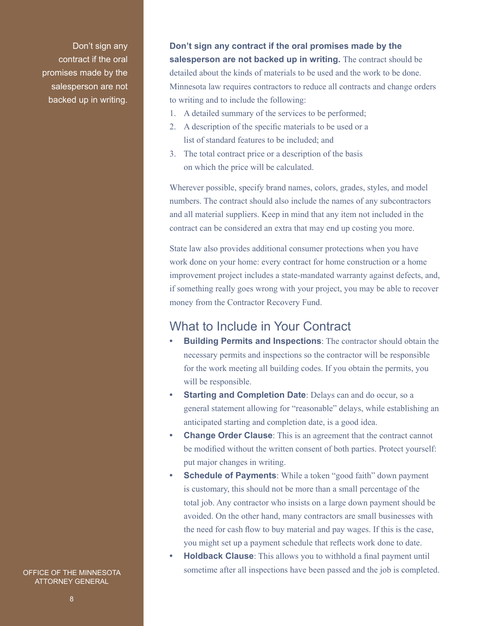Don't sign any contract if the oral promises made by the salesperson are not backed up in writing.

**Don't sign any contract if the oral promises made by the salesperson are not backed up in writing.** The contract should be detailed about the kinds of materials to be used and the work to be done. Minnesota law requires contractors to reduce all contracts and change orders to writing and to include the following:

- 1. A detailed summary of the services to be performed;
- 2. A description of the specific materials to be used or a list of standard features to be included; and
- 3. The total contract price or a description of the basis on which the price will be calculated.

Wherever possible, specify brand names, colors, grades, styles, and model numbers. The contract should also include the names of any subcontractors and all material suppliers. Keep in mind that any item not included in the contract can be considered an extra that may end up costing you more.

State law also provides additional consumer protections when you have work done on your home: every contract for home construction or a home improvement project includes a state-mandated warranty against defects, and, if something really goes wrong with your project, you may be able to recover money from the Contractor Recovery Fund.

# What to Include in Your Contract

- **• Building Permits and Inspections**: The contractor should obtain the necessary permits and inspections so the contractor will be responsible for the work meeting all building codes. If you obtain the permits, you will be responsible.
- **Starting and Completion Date**: Delays can and do occur, so a general statement allowing for "reasonable" delays, while establishing an anticipated starting and completion date, is a good idea.
- **Change Order Clause**: This is an agreement that the contract cannot be modified without the written consent of both parties. Protect yourself: put major changes in writing.
- **Schedule of Payments**: While a token "good faith" down payment is customary, this should not be more than a small percentage of the total job. Any contractor who insists on a large down payment should be avoided. On the other hand, many contractors are small businesses with the need for cash flow to buy material and pay wages. If this is the case, you might set up a payment schedule that reflects work done to date.
- **• Holdback Clause**: This allows you to withhold a final payment until sometime after all inspections have been passed and the job is completed.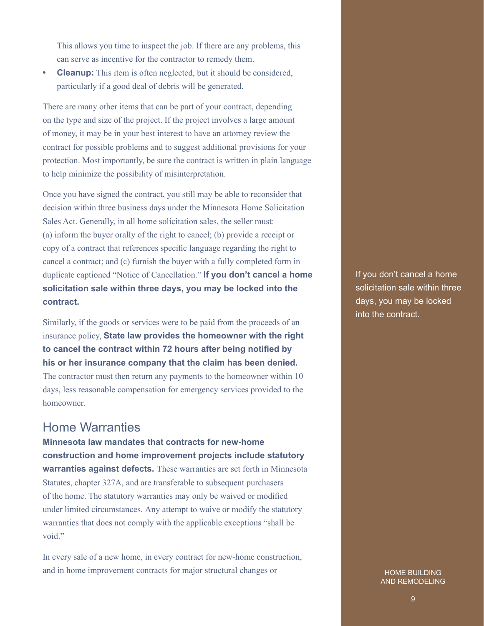This allows you time to inspect the job. If there are any problems, this can serve as incentive for the contractor to remedy them.

**Cleanup:** This item is often neglected, but it should be considered, particularly if a good deal of debris will be generated.

There are many other items that can be part of your contract, depending on the type and size of the project. If the project involves a large amount of money, it may be in your best interest to have an attorney review the contract for possible problems and to suggest additional provisions for your protection. Most importantly, be sure the contract is written in plain language to help minimize the possibility of misinterpretation.

Once you have signed the contract, you still may be able to reconsider that decision within three business days under the Minnesota Home Solicitation Sales Act. Generally, in all home solicitation sales, the seller must: (a) inform the buyer orally of the right to cancel; (b) provide a receipt or copy of a contract that references specific language regarding the right to cancel a contract; and (c) furnish the buyer with a fully completed form in duplicate captioned "Notice of Cancellation." **If you don't cancel a home solicitation sale within three days, you may be locked into the contract.**

Similarly, if the goods or services were to be paid from the proceeds of an insurance policy, **State law provides the homeowner with the right to cancel the contract within 72 hours after being notified by his or her insurance company that the claim has been denied.**  The contractor must then return any payments to the homeowner within 10 days, less reasonable compensation for emergency services provided to the homeowner.

# Home Warranties

**Minnesota law mandates that contracts for new-home construction and home improvement projects include statutory warranties against defects.** These warranties are set forth in Minnesota Statutes, chapter 327A, and are transferable to subsequent purchasers of the home. The statutory warranties may only be waived or modified under limited circumstances. Any attempt to waive or modify the statutory warranties that does not comply with the applicable exceptions "shall be void."

In every sale of a new home, in every contract for new-home construction, and in home improvement contracts for major structural changes or

If you don't cancel a home solicitation sale within three days, you may be locked into the contract.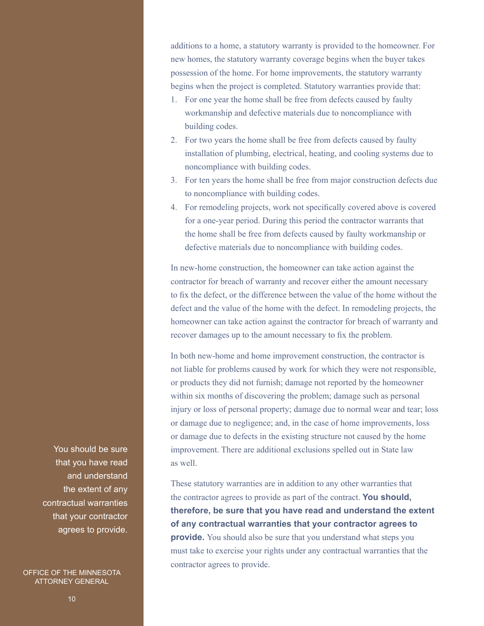additions to a home, a statutory warranty is provided to the homeowner. For new homes, the statutory warranty coverage begins when the buyer takes possession of the home. For home improvements, the statutory warranty begins when the project is completed. Statutory warranties provide that:

- 1. For one year the home shall be free from defects caused by faulty workmanship and defective materials due to noncompliance with building codes.
- 2. For two years the home shall be free from defects caused by faulty installation of plumbing, electrical, heating, and cooling systems due to noncompliance with building codes.
- 3. For ten years the home shall be free from major construction defects due to noncompliance with building codes.
- 4. For remodeling projects, work not specifically covered above is covered for a one-year period. During this period the contractor warrants that the home shall be free from defects caused by faulty workmanship or defective materials due to noncompliance with building codes.

In new-home construction, the homeowner can take action against the contractor for breach of warranty and recover either the amount necessary to fix the defect, or the difference between the value of the home without the defect and the value of the home with the defect. In remodeling projects, the homeowner can take action against the contractor for breach of warranty and recover damages up to the amount necessary to fix the problem.

In both new-home and home improvement construction, the contractor is not liable for problems caused by work for which they were not responsible, or products they did not furnish; damage not reported by the homeowner within six months of discovering the problem; damage such as personal injury or loss of personal property; damage due to normal wear and tear; loss or damage due to negligence; and, in the case of home improvements, loss or damage due to defects in the existing structure not caused by the home improvement. There are additional exclusions spelled out in State law as well.

These statutory warranties are in addition to any other warranties that the contractor agrees to provide as part of the contract. **You should, therefore, be sure that you have read and understand the extent of any contractual warranties that your contractor agrees to provide.** You should also be sure that you understand what steps you must take to exercise your rights under any contractual warranties that the contractor agrees to provide.

You should be sure that you have read and understand the extent of any contractual warranties that your contractor agrees to provide.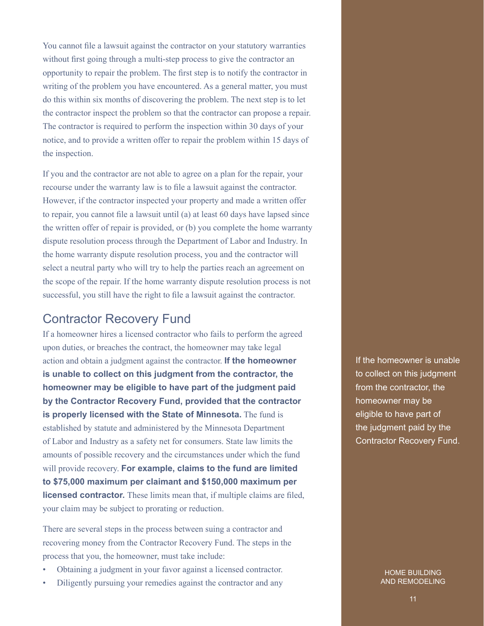You cannot file a lawsuit against the contractor on your statutory warranties without first going through a multi-step process to give the contractor an opportunity to repair the problem. The first step is to notify the contractor in writing of the problem you have encountered. As a general matter, you must do this within six months of discovering the problem. The next step is to let the contractor inspect the problem so that the contractor can propose a repair. The contractor is required to perform the inspection within 30 days of your notice, and to provide a written offer to repair the problem within 15 days of the inspection.

If you and the contractor are not able to agree on a plan for the repair, your recourse under the warranty law is to file a lawsuit against the contractor. However, if the contractor inspected your property and made a written offer to repair, you cannot file a lawsuit until (a) at least 60 days have lapsed since the written offer of repair is provided, or (b) you complete the home warranty dispute resolution process through the Department of Labor and Industry. In the home warranty dispute resolution process, you and the contractor will select a neutral party who will try to help the parties reach an agreement on the scope of the repair. If the home warranty dispute resolution process is not successful, you still have the right to file a lawsuit against the contractor.

# Contractor Recovery Fund

If a homeowner hires a licensed contractor who fails to perform the agreed upon duties, or breaches the contract, the homeowner may take legal action and obtain a judgment against the contractor. **If the homeowner is unable to collect on this judgment from the contractor, the homeowner may be eligible to have part of the judgment paid by the Contractor Recovery Fund, provided that the contractor is properly licensed with the State of Minnesota.** The fund is established by statute and administered by the Minnesota Department of Labor and Industry as a safety net for consumers. State law limits the amounts of possible recovery and the circumstances under which the fund will provide recovery. **For example, claims to the fund are limited to \$75,000 maximum per claimant and \$150,000 maximum per licensed contractor.** These limits mean that, if multiple claims are filed, your claim may be subject to prorating or reduction.

There are several steps in the process between suing a contractor and recovering money from the Contractor Recovery Fund. The steps in the process that you, the homeowner, must take include:

- Obtaining a judgment in your favor against a licensed contractor.
- Diligently pursuing your remedies against the contractor and any

If the homeowner is unable to collect on this judgment from the contractor, the homeowner may be eligible to have part of the judgment paid by the Contractor Recovery Fund.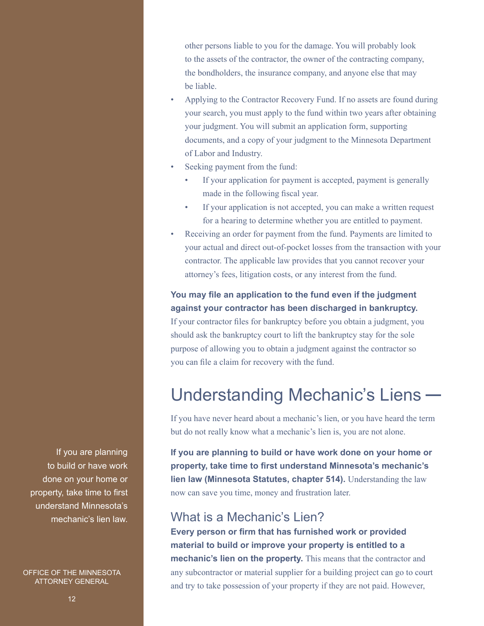other persons liable to you for the damage. You will probably look to the assets of the contractor, the owner of the contracting company, the bondholders, the insurance company, and anyone else that may be liable.

- Applying to the Contractor Recovery Fund. If no assets are found during your search, you must apply to the fund within two years after obtaining your judgment. You will submit an application form, supporting documents, and a copy of your judgment to the Minnesota Department of Labor and Industry.
- Seeking payment from the fund:
	- If your application for payment is accepted, payment is generally made in the following fiscal year.
	- If your application is not accepted, you can make a written request for a hearing to determine whether you are entitled to payment.
- Receiving an order for payment from the fund. Payments are limited to your actual and direct out-of-pocket losses from the transaction with your contractor. The applicable law provides that you cannot recover your attorney's fees, litigation costs, or any interest from the fund.

### **You may file an application to the fund even if the judgment against your contractor has been discharged in bankruptcy.**

If your contractor files for bankruptcy before you obtain a judgment, you should ask the bankruptcy court to lift the bankruptcy stay for the sole purpose of allowing you to obtain a judgment against the contractor so you can file a claim for recovery with the fund.

# Understanding Mechanic's Liens

If you have never heard about a mechanic's lien, or you have heard the term but do not really know what a mechanic's lien is, you are not alone.

**If you are planning to build or have work done on your home or property, take time to first understand Minnesota's mechanic's lien law (Minnesota Statutes, chapter 514).** Understanding the law now can save you time, money and frustration later.

# What is a Mechanic's Lien?

**Every person or firm that has furnished work or provided material to build or improve your property is entitled to a mechanic's lien on the property.** This means that the contractor and any subcontractor or material supplier for a building project can go to court and try to take possession of your property if they are not paid. However,

If you are planning to build or have work done on your home or property, take time to first understand Minnesota's mechanic's lien law.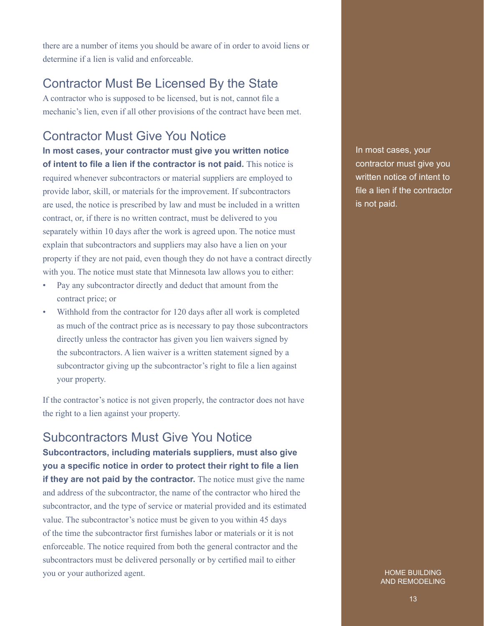there are a number of items you should be aware of in order to avoid liens or determine if a lien is valid and enforceable.

# Contractor Must Be Licensed By the State

A contractor who is supposed to be licensed, but is not, cannot file a mechanic's lien, even if all other provisions of the contract have been met.

# Contractor Must Give You Notice

**In most cases, your contractor must give you written notice of intent to file a lien if the contractor is not paid.** This notice is required whenever subcontractors or material suppliers are employed to provide labor, skill, or materials for the improvement. If subcontractors are used, the notice is prescribed by law and must be included in a written contract, or, if there is no written contract, must be delivered to you separately within 10 days after the work is agreed upon. The notice must explain that subcontractors and suppliers may also have a lien on your property if they are not paid, even though they do not have a contract directly with you. The notice must state that Minnesota law allows you to either:

- Pay any subcontractor directly and deduct that amount from the contract price; or
- Withhold from the contractor for 120 days after all work is completed as much of the contract price as is necessary to pay those subcontractors directly unless the contractor has given you lien waivers signed by the subcontractors. A lien waiver is a written statement signed by a subcontractor giving up the subcontractor's right to file a lien against your property.

If the contractor's notice is not given properly, the contractor does not have the right to a lien against your property.

# Subcontractors Must Give You Notice

**Subcontractors, including materials suppliers, must also give you a specific notice in order to protect their right to file a lien if they are not paid by the contractor.** The notice must give the name and address of the subcontractor, the name of the contractor who hired the subcontractor, and the type of service or material provided and its estimated value. The subcontractor's notice must be given to you within 45 days of the time the subcontractor first furnishes labor or materials or it is not enforceable. The notice required from both the general contractor and the subcontractors must be delivered personally or by certified mail to either you or your authorized agent.

In most cases, your contractor must give you written notice of intent to file a lien if the contractor is not paid.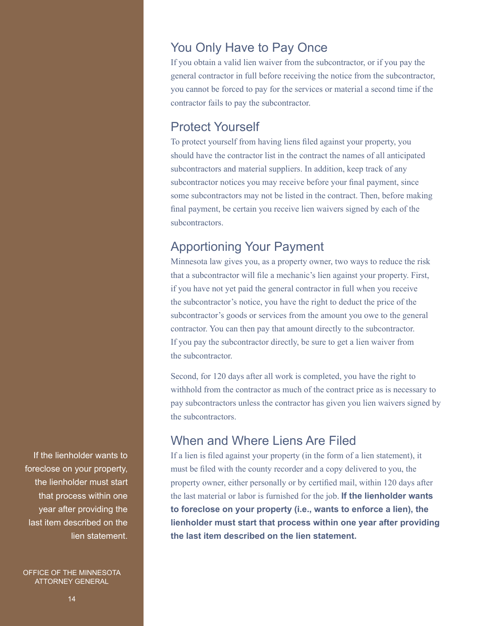# You Only Have to Pay Once

If you obtain a valid lien waiver from the subcontractor, or if you pay the general contractor in full before receiving the notice from the subcontractor, you cannot be forced to pay for the services or material a second time if the contractor fails to pay the subcontractor.

# Protect Yourself

To protect yourself from having liens filed against your property, you should have the contractor list in the contract the names of all anticipated subcontractors and material suppliers. In addition, keep track of any subcontractor notices you may receive before your final payment, since some subcontractors may not be listed in the contract. Then, before making final payment, be certain you receive lien waivers signed by each of the subcontractors.

# Apportioning Your Payment

Minnesota law gives you, as a property owner, two ways to reduce the risk that a subcontractor will file a mechanic's lien against your property. First, if you have not yet paid the general contractor in full when you receive the subcontractor's notice, you have the right to deduct the price of the subcontractor's goods or services from the amount you owe to the general contractor. You can then pay that amount directly to the subcontractor. If you pay the subcontractor directly, be sure to get a lien waiver from the subcontractor.

Second, for 120 days after all work is completed, you have the right to withhold from the contractor as much of the contract price as is necessary to pay subcontractors unless the contractor has given you lien waivers signed by the subcontractors.

# When and Where Liens Are Filed

If a lien is filed against your property (in the form of a lien statement), it must be filed with the county recorder and a copy delivered to you, the property owner, either personally or by certified mail, within 120 days after the last material or labor is furnished for the job. **If the lienholder wants to foreclose on your property (i.e., wants to enforce a lien), the lienholder must start that process within one year after providing the last item described on the lien statement.**

If the lienholder wants to foreclose on your property, the lienholder must start that process within one year after providing the last item described on the lien statement.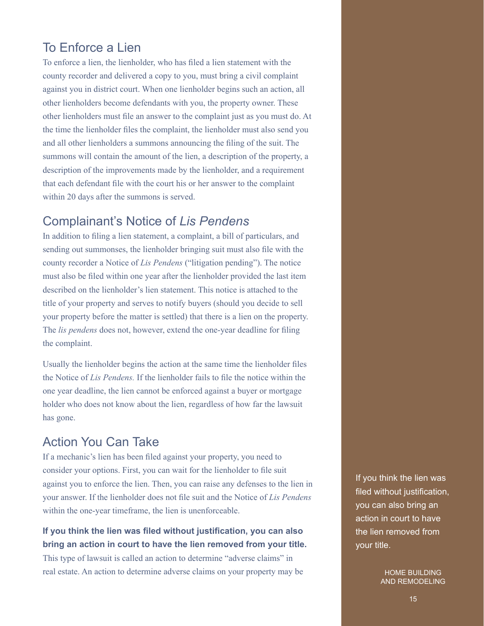# To Enforce a Lien

To enforce a lien, the lienholder, who has filed a lien statement with the county recorder and delivered a copy to you, must bring a civil complaint against you in district court. When one lienholder begins such an action, all other lienholders become defendants with you, the property owner. These other lienholders must file an answer to the complaint just as you must do. At the time the lienholder files the complaint, the lienholder must also send you and all other lienholders a summons announcing the filing of the suit. The summons will contain the amount of the lien, a description of the property, a description of the improvements made by the lienholder, and a requirement that each defendant file with the court his or her answer to the complaint within 20 days after the summons is served.

# Complainant's Notice of *Lis Pendens*

In addition to filing a lien statement, a complaint, a bill of particulars, and sending out summonses, the lienholder bringing suit must also file with the county recorder a Notice of *Lis Pendens* ("litigation pending"). The notice must also be filed within one year after the lienholder provided the last item described on the lienholder's lien statement. This notice is attached to the title of your property and serves to notify buyers (should you decide to sell your property before the matter is settled) that there is a lien on the property. The *lis pendens* does not, however, extend the one-year deadline for filing the complaint.

Usually the lienholder begins the action at the same time the lienholder files the Notice of *Lis Pendens.* If the lienholder fails to file the notice within the one year deadline, the lien cannot be enforced against a buyer or mortgage holder who does not know about the lien, regardless of how far the lawsuit has gone.

# Action You Can Take

If a mechanic's lien has been filed against your property, you need to consider your options. First, you can wait for the lienholder to file suit against you to enforce the lien. Then, you can raise any defenses to the lien in your answer. If the lienholder does not file suit and the Notice of *Lis Pendens* within the one-year timeframe, the lien is unenforceable.

# **If you think the lien was filed without justification, you can also bring an action in court to have the lien removed from your title.**

This type of lawsuit is called an action to determine "adverse claims" in real estate. An action to determine adverse claims on your property may be

If you think the lien was filed without justification, you can also bring an action in court to have the lien removed from your title.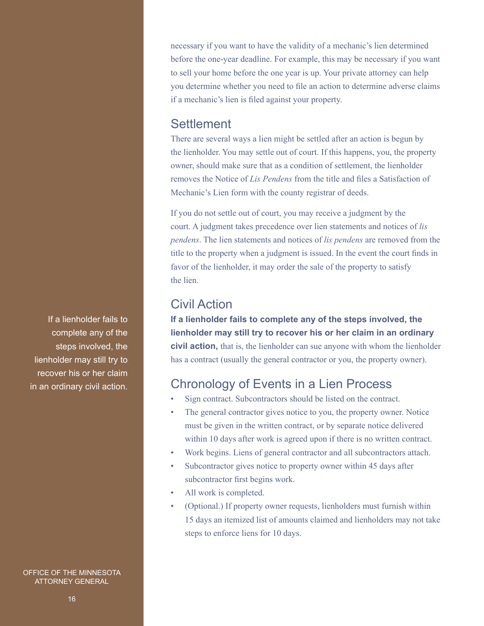necessary if you want to have the validity of a mechanic's lien determined before the one-year deadline. For example, this may be necessary if you want to sell your home before the one year is up. Your private attorney can help you determine whether you need to file an action to determine adverse claims if a mechanic's lien is filed against your property.

# **Settlement**

There are several ways a lien might be settled after an action is begun by the lienholder. You may settle out of court. If this happens, you, the property owner, should make sure that as a condition of settlement, the lienholder removes the Notice of *Lis Pendens* from the title and files a Satisfaction of Mechanic's Lien form with the county registrar of deeds.

If you do not settle out of court, you may receive a judgment by the court. A judgment takes precedence over lien statements and notices of *lis pendens*. The lien statements and notices of *lis pendens* are removed from the title to the property when a judgment is issued. In the event the court finds in favor of the lienholder, it may order the sale of the property to satisfy the lien.

# Civil Action

**If a lienholder fails to complete any of the steps involved, the lienholder may still try to recover his or her claim in an ordinary civil action,** that is, the lienholder can sue anyone with whom the lienholder has a contract (usually the general contractor or you, the property owner).

# Chronology of Events in a Lien Process

- Sign contract. Subcontractors should be listed on the contract.
- The general contractor gives notice to you, the property owner. Notice must be given in the written contract, or by separate notice delivered within 10 days after work is agreed upon if there is no written contract.
- Work begins. Liens of general contractor and all subcontractors attach.
- Subcontractor gives notice to property owner within 45 days after subcontractor first begins work.
- All work is completed.
- (Optional.) If property owner requests, lienholders must furnish within 15 days an itemized list of amounts claimed and lienholders may not take steps to enforce liens for 10 days.

If a lienholder fails to complete any of the steps involved, the lienholder may still try to recover his or her claim in an ordinary civil action.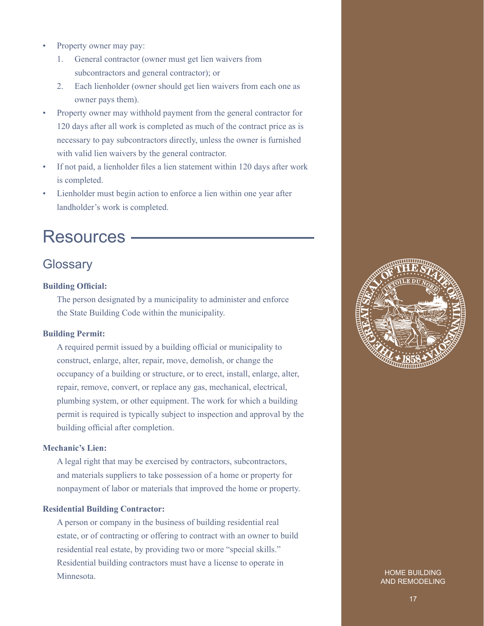- Property owner may pay:
	- 1. General contractor (owner must get lien waivers from subcontractors and general contractor); or
	- 2. Each lienholder (owner should get lien waivers from each one as owner pays them).
- Property owner may withhold payment from the general contractor for 120 days after all work is completed as much of the contract price as is necessary to pay subcontractors directly, unless the owner is furnished with valid lien waivers by the general contractor.
- If not paid, a lienholder files a lien statement within 120 days after work is completed.
- Lienholder must begin action to enforce a lien within one year after landholder's work is completed.

# Resources

# **Glossary**

#### **Building Official:**

The person designated by a municipality to administer and enforce the State Building Code within the municipality.

#### **Building Permit:**

A required permit issued by a building official or municipality to construct, enlarge, alter, repair, move, demolish, or change the occupancy of a building or structure, or to erect, install, enlarge, alter, repair, remove, convert, or replace any gas, mechanical, electrical, plumbing system, or other equipment. The work for which a building permit is required is typically subject to inspection and approval by the building official after completion.

#### **Mechanic's Lien:**

A legal right that may be exercised by contractors, subcontractors, and materials suppliers to take possession of a home or property for nonpayment of labor or materials that improved the home or property.

#### **Residential Building Contractor:**

A person or company in the business of building residential real estate, or of contracting or offering to contract with an owner to build residential real estate, by providing two or more "special skills." Residential building contractors must have a license to operate in **Minnesota** 

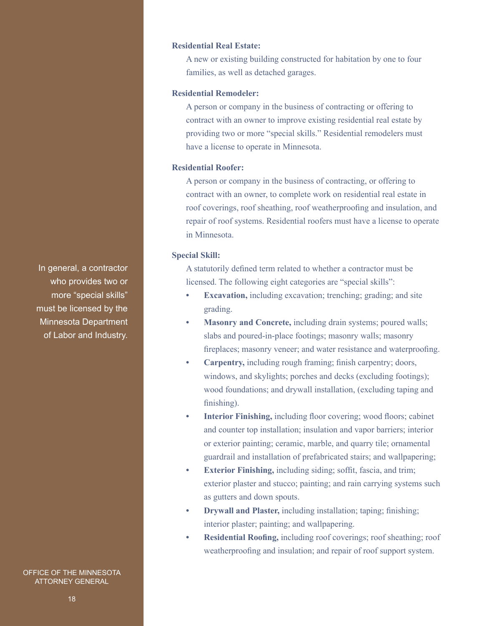#### **Residential Real Estate:**

A new or existing building constructed for habitation by one to four families, as well as detached garages.

#### **Residential Remodeler:**

A person or company in the business of contracting or offering to contract with an owner to improve existing residential real estate by providing two or more "special skills." Residential remodelers must have a license to operate in Minnesota.

#### **Residential Roofer:**

A person or company in the business of contracting, or offering to contract with an owner, to complete work on residential real estate in roof coverings, roof sheathing, roof weatherproofing and insulation, and repair of roof systems. Residential roofers must have a license to operate in Minnesota.

#### **Special Skill:**

A statutorily defined term related to whether a contractor must be licensed. The following eight categories are "special skills":

- **Excavation,** including excavation; trenching; grading; and site grading.
- **• Masonry and Concrete,** including drain systems; poured walls; slabs and poured-in-place footings; masonry walls; masonry fireplaces; masonry veneer; and water resistance and waterproofing.
- **• Carpentry,** including rough framing; finish carpentry; doors, windows, and skylights; porches and decks (excluding footings); wood foundations; and drywall installation, (excluding taping and finishing).
- **• Interior Finishing,** including floor covering; wood floors; cabinet and counter top installation; insulation and vapor barriers; interior or exterior painting; ceramic, marble, and quarry tile; ornamental guardrail and installation of prefabricated stairs; and wallpapering;
- **Exterior Finishing,** including siding; soffit, fascia, and trim; exterior plaster and stucco; painting; and rain carrying systems such as gutters and down spouts.
- **Drywall and Plaster,** including installation; taping; finishing; interior plaster; painting; and wallpapering.
- **• Residential Roofing,** including roof coverings; roof sheathing; roof weatherproofing and insulation; and repair of roof support system.

In general, a contractor who provides two or more "special skills" must be licensed by the Minnesota Department of Labor and Industry.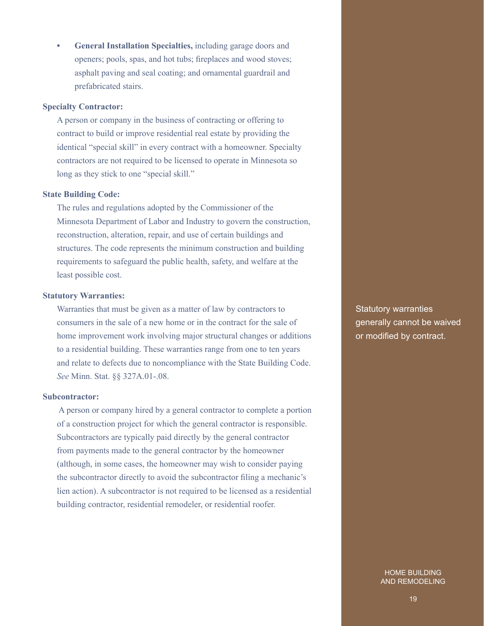**• General Installation Specialties,** including garage doors and openers; pools, spas, and hot tubs; fireplaces and wood stoves; asphalt paving and seal coating; and ornamental guardrail and prefabricated stairs.

#### **Specialty Contractor:**

A person or company in the business of contracting or offering to contract to build or improve residential real estate by providing the identical "special skill" in every contract with a homeowner. Specialty contractors are not required to be licensed to operate in Minnesota so long as they stick to one "special skill."

#### **State Building Code:**

The rules and regulations adopted by the Commissioner of the Minnesota Department of Labor and Industry to govern the construction, reconstruction, alteration, repair, and use of certain buildings and structures. The code represents the minimum construction and building requirements to safeguard the public health, safety, and welfare at the least possible cost.

#### **Statutory Warranties:**

Warranties that must be given as a matter of law by contractors to consumers in the sale of a new home or in the contract for the sale of home improvement work involving major structural changes or additions to a residential building. These warranties range from one to ten years and relate to defects due to noncompliance with the State Building Code. *See* Minn. Stat. §§ 327A.01-.08.

#### **Subcontractor:**

 A person or company hired by a general contractor to complete a portion of a construction project for which the general contractor is responsible. Subcontractors are typically paid directly by the general contractor from payments made to the general contractor by the homeowner (although, in some cases, the homeowner may wish to consider paying the subcontractor directly to avoid the subcontractor filing a mechanic's lien action). A subcontractor is not required to be licensed as a residential building contractor, residential remodeler, or residential roofer.

Statutory warranties generally cannot be waived or modified by contract.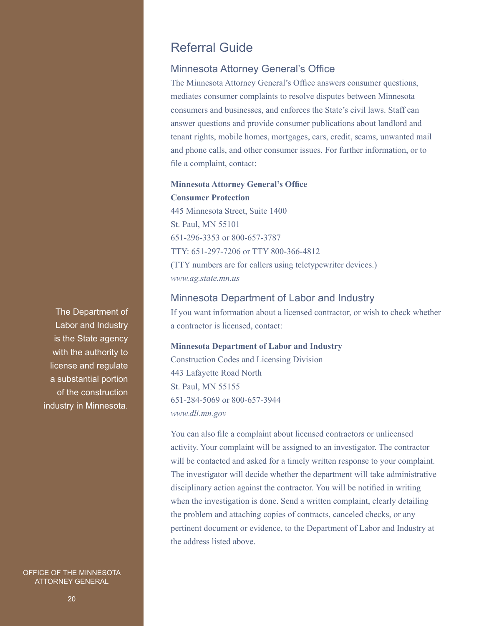# Referral Guide

#### Minnesota Attorney General's Office

The Minnesota Attorney General's Office answers consumer questions, mediates consumer complaints to resolve disputes between Minnesota consumers and businesses, and enforces the State's civil laws. Staff can answer questions and provide consumer publications about landlord and tenant rights, mobile homes, mortgages, cars, credit, scams, unwanted mail and phone calls, and other consumer issues. For further information, or to file a complaint, contact:

# **Minnesota Attorney General's Office Consumer Protection** 445 Minnesota Street, Suite 1400 St. Paul, MN 55101

651-296-3353 or 800-657-3787 TTY: 651-297-7206 or TTY 800-366-4812 (TTY numbers are for callers using teletypewriter devices.) *[www.ag.state.mn.us](http://www.ag.state.mn.us/)*

#### Minnesota Department of Labor and Industry

If you want information about a licensed contractor, or wish to check whether a contractor is licensed, contact:

#### **Minnesota Department of Labor and Industry**

Construction Codes and Licensing Division 443 Lafayette Road North St. Paul, MN 55155 651-284-5069 or 800-657-3944 *[www.dli.mn.gov](http://www.ag.state.mn.us/)*

You can also file a complaint about licensed contractors or unlicensed activity. Your complaint will be assigned to an investigator. The contractor will be contacted and asked for a timely written response to your complaint. The investigator will decide whether the department will take administrative disciplinary action against the contractor. You will be notified in writing when the investigation is done. Send a written complaint, clearly detailing the problem and attaching copies of contracts, canceled checks, or any pertinent document or evidence, to the Department of Labor and Industry at the address listed above.

The Department of Labor and Industry is the State agency with the authority to license and regulate a substantial portion of the construction industry in Minnesota.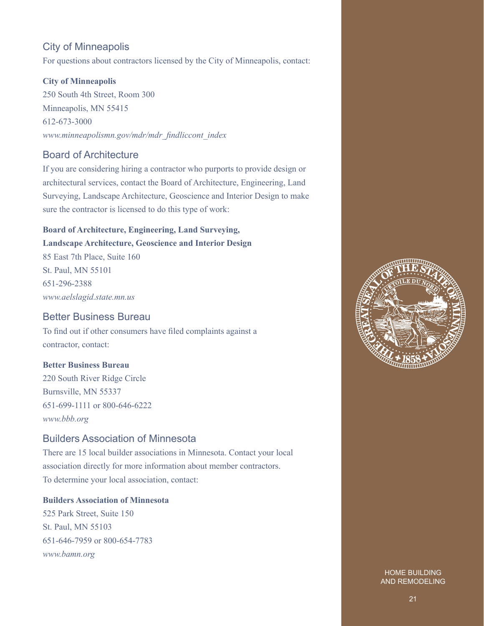## City of Minneapolis

For questions about contractors licensed by the City of Minneapolis, contact:

#### **City of Minneapolis**

250 South 4th Street, Room 300 Minneapolis, MN 55415 612-673-3000 *[www.minneapolismn.gov/mdr/mdr\\_findliccont\\_index](http://www.ag.state.mn.us/)*

### Board of Architecture

If you are considering hiring a contractor who purports to provide design or architectural services, contact the Board of Architecture, Engineering, Land Surveying, Landscape Architecture, Geoscience and Interior Design to make sure the contractor is licensed to do this type of work:

### **Board of Architecture, Engineering, Land Surveying, Landscape Architecture, Geoscience and Interior Design**

85 East 7th Place, Suite 160 St. Paul, MN 55101 651-296-2388 *[www.aelslagid.state.mn.us](http://www.ag.state.mn.us/)*

### Better Business Bureau

To find out if other consumers have filed complaints against a contractor, contact:

#### **Better Business Bureau**

220 South River Ridge Circle Burnsville, MN 55337 651-699-1111 or 800-646-6222 *[www.bbb.org](http://www.ag.state.mn.us/)*

### Builders Association of Minnesota

There are 15 local builder associations in Minnesota. Contact your local association directly for more information about member contractors. To determine your local association, contact:

#### **Builders Association of Minnesota**

525 Park Street, Suite 150 St. Paul, MN 55103 651-646-7959 or 800-654-7783 *[www.bamn.org](http://www.ag.state.mn.us/)*